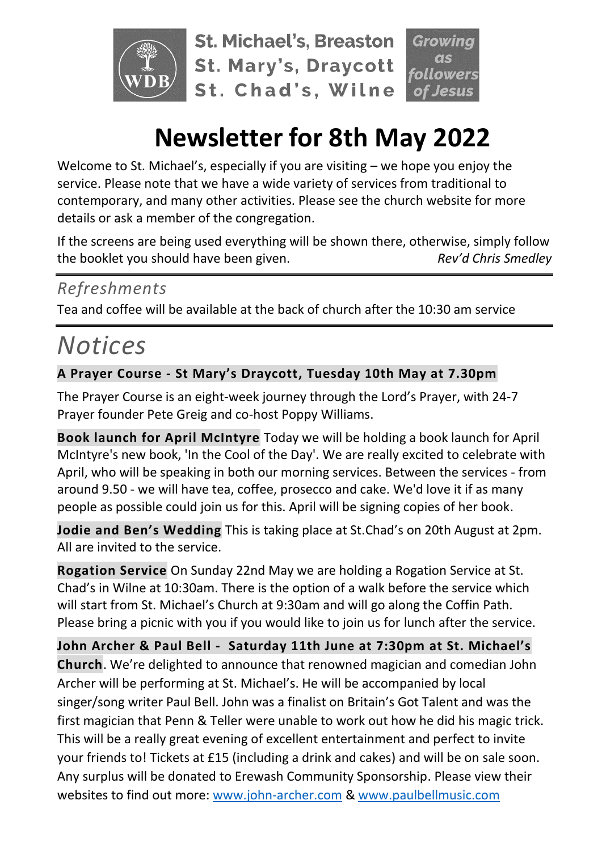

**St. Michael's, Breaston St. Mary's, Draycott** St. Chad's, Wilne

# **Newsletter for 8th May 2022**

Welcome to St. Michael's, especially if you are visiting – we hope you enjoy the service. Please note that we have a wide variety of services from traditional to contemporary, and many other activities. Please see the church website for more details or ask a member of the congregation.

If the screens are being used everything will be shown there, otherwise, simply follow the booklet you should have been given. *Rev'd Chris Smedley*

## *Refreshments*

Tea and coffee will be available at the back of church after the 10:30 am service

# *Notices*

### **A Prayer Course - St Mary's Draycott, Tuesday 10th May at 7.30pm**

The Prayer Course is an eight-week journey through the Lord's Prayer, with 24-7 Prayer founder Pete Greig and co-host Poppy Williams.

**Book launch for April McIntyre** Today we will be holding a book launch for April McIntyre's new book, 'In the Cool of the Day'. We are really excited to celebrate with April, who will be speaking in both our morning services. Between the services - from around 9.50 - we will have tea, coffee, prosecco and cake. We'd love it if as many people as possible could join us for this. April will be signing copies of her book.

**Jodie and Ben's Wedding** This is taking place at St.Chad's on 20th August at 2pm. All are invited to the service.

**Rogation Service** On Sunday 22nd May we are holding a Rogation Service at St. Chad's in Wilne at 10:30am. There is the option of a walk before the service which will start from St. Michael's Church at 9:30am and will go along the Coffin Path. Please bring a picnic with you if you would like to join us for lunch after the service.

**John Archer & Paul Bell - Saturday 11th June at 7:30pm at St. Michael's Church**. We're delighted to announce that renowned magician and comedian John Archer will be performing at St. Michael's. He will be accompanied by local singer/song writer Paul Bell. John was a finalist on Britain's Got Talent and was the first magician that Penn & Teller were unable to work out how he did his magic trick. This will be a really great evening of excellent entertainment and perfect to invite your friends to! Tickets at £15 (including a drink and cakes) and will be on sale soon. Any surplus will be donated to Erewash Community Sponsorship. Please view their websites to find out more: [www.john-archer.com](http://www.john-archer.com/) & [www.paulbellmusic.com](http://www.paulbellmusic.com/)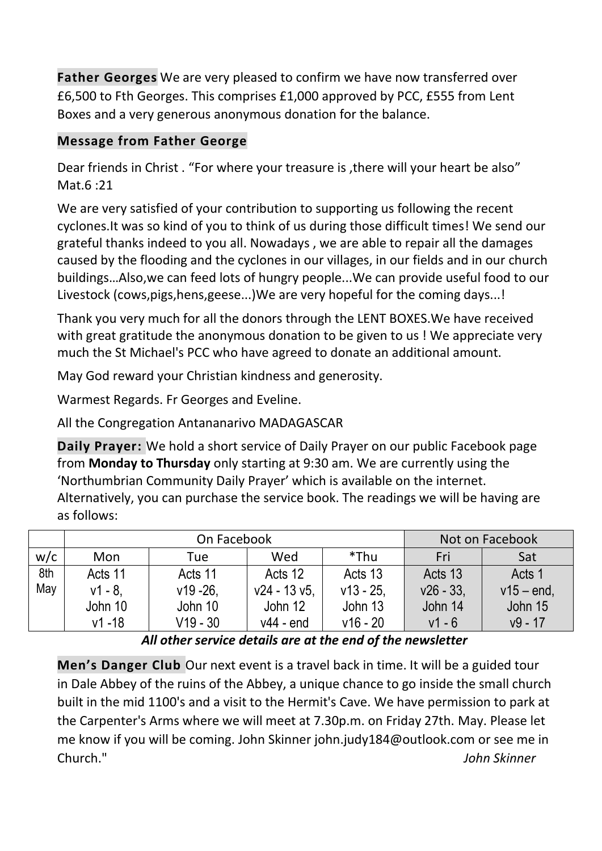**Father Georges** We are very pleased to confirm we have now transferred over £6,500 to Fth Georges. This comprises £1,000 approved by PCC, £555 from Lent Boxes and a very generous anonymous donation for the balance.

#### **Message from Father George**

Dear friends in Christ . "For where your treasure is ,there will your heart be also" Mat.6 :21

We are very satisfied of your contribution to supporting us following the recent cyclones.It was so kind of you to think of us during those difficult times! We send our grateful thanks indeed to you all. Nowadays , we are able to repair all the damages caused by the flooding and the cyclones in our villages, in our fields and in our church buildings…Also,we can feed lots of hungry people...We can provide useful food to our Livestock (cows,pigs,hens,geese...)We are very hopeful for the coming days...!

Thank you very much for all the donors through the LENT BOXES.We have received with great gratitude the anonymous donation to be given to us ! We appreciate very much the St Michael's PCC who have agreed to donate an additional amount.

May God reward your Christian kindness and generosity.

Warmest Regards. Fr Georges and Eveline.

All the Congregation Antananarivo MADAGASCAR

**Daily Prayer:** We hold a short service of Daily Prayer on our public Facebook page from **Monday to Thursday** only starting at 9:30 am. We are currently using the 'Northumbrian Community Daily Prayer' which is available on the internet. Alternatively, you can purchase the service book. The readings we will be having are as follows:

|     | On Facebook |            |                 |            | Not on Facebook |               |
|-----|-------------|------------|-----------------|------------|-----------------|---------------|
| w/c | Mon         | Tue        | Wed             | *Thu       | Fri             | Sat           |
| 8th | Acts 11     | Acts 11    | Acts 12         | Acts 13    | Acts 13         | Acts 1        |
| May | v1 - 8.     | $v19 - 26$ | $v24 - 13 v5$ , | $v13 - 25$ | $v26 - 33.$     | $v15 - end$ , |
|     | John 10     | John 10    | John 12         | John 13    | John 14         | John 15       |
|     | $v1 - 18$   | V19 - 30   | $v44 - end$     | $v16 - 20$ | $v1 - 6$        | $v9 - 17$     |

*All other service details are at the end of the newsletter*

**Men's Danger Club** Our next event is a travel back in time. It will be a guided tour in Dale Abbey of the ruins of the Abbey, a unique chance to go inside the small church built in the mid 1100's and a visit to the Hermit's Cave. We have permission to park at the Carpenter's Arms where we will meet at 7.30p.m. on Friday 27th. May. Please let me know if you will be coming. John Skinner john.judy184@outlook.com or see me in Church." *John Skinner*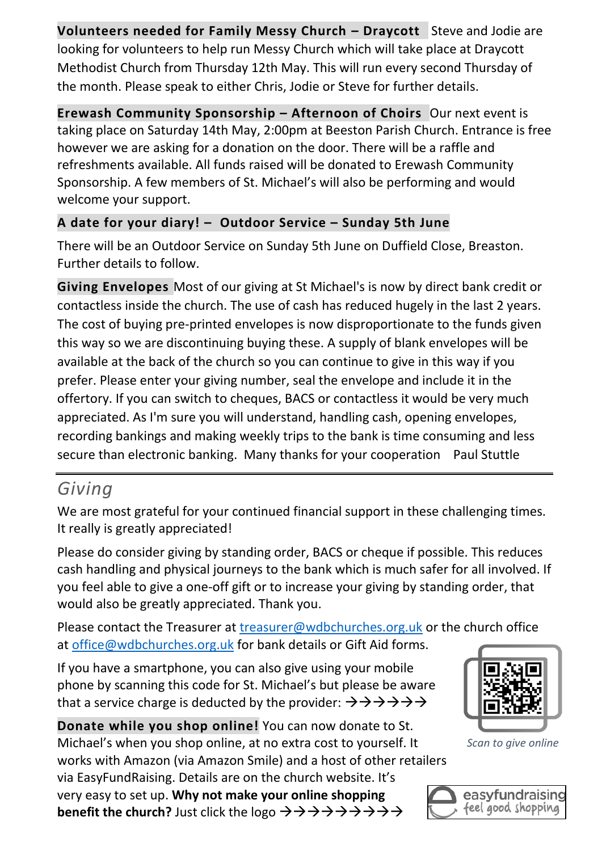**Volunteers needed for Family Messy Church – Draycott** Steve and Jodie are looking for volunteers to help run Messy Church which will take place at Draycott Methodist Church from Thursday 12th May. This will run every second Thursday of the month. Please speak to either Chris, Jodie or Steve for further details.

**Erewash Community Sponsorship – Afternoon of Choirs** Our next event is taking place on Saturday 14th May, 2:00pm at Beeston Parish Church. Entrance is free however we are asking for a donation on the door. There will be a raffle and refreshments available. All funds raised will be donated to Erewash Community Sponsorship. A few members of St. Michael's will also be performing and would welcome your support.

### **A date for your diary! – Outdoor Service – Sunday 5th June**

There will be an Outdoor Service on Sunday 5th June on Duffield Close, Breaston. Further details to follow.

**Giving Envelopes** Most of our giving at St Michael's is now by direct bank credit or contactless inside the church. The use of cash has reduced hugely in the last 2 years. The cost of buying pre-printed envelopes is now disproportionate to the funds given this way so we are discontinuing buying these. A supply of blank envelopes will be available at the back of the church so you can continue to give in this way if you prefer. Please enter your giving number, seal the envelope and include it in the offertory. If you can switch to cheques, BACS or contactless it would be very much appreciated. As I'm sure you will understand, handling cash, opening envelopes, recording bankings and making weekly trips to the bank is time consuming and less secure than electronic banking. Many thanks for your cooperation Paul Stuttle

## *Giving*

We are most grateful for your continued financial support in these challenging times. It really is greatly appreciated!

Please do consider giving by standing order, BACS or cheque if possible. This reduces cash handling and physical journeys to the bank which is much safer for all involved. If you feel able to give a one-off gift or to increase your giving by standing order, that would also be greatly appreciated. Thank you.

Please contact the Treasurer at [treasurer@wdbchurches.org.uk](mailto:treasurer@wdbchurches.org.uk) or the church office at [office@wdbchurches.org.uk](mailto:office@wdbchurches.org.uk) for bank details or Gift Aid forms.

If you have a smartphone, you can also give using your mobile phone by scanning this code for St. Michael's but please be aware that a service charge is deducted by the provider:  $\rightarrow \rightarrow \rightarrow \rightarrow \rightarrow \rightarrow$ 

**Donate while you shop online!** You can now donate to St. Michael's when you shop online, at no extra cost to yourself. It works with Amazon (via Amazon Smile) and a host of other retailers via EasyFundRaising. Details are on the [church website](http://www.stmichaelsbreaston.org.uk/index.php/113-news/236-giving-online). It's very easy to set up. **Why not make your online shopping benefit the church?** Just click the logo →→→→→→→→→



*Scan to give online*